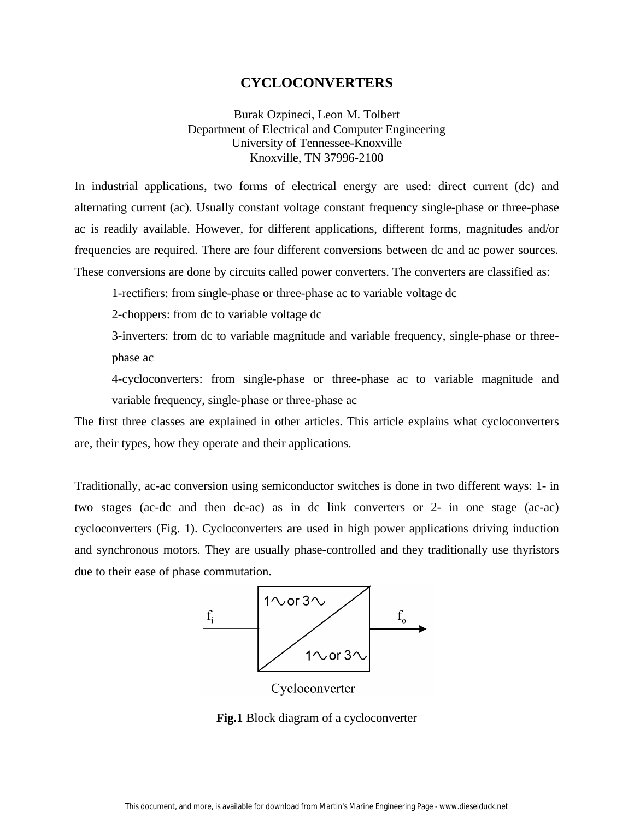## **CYCLOCONVERTERS**

Burak Ozpineci, Leon M. Tolbert Department of Electrical and Computer Engineering University of Tennessee-Knoxville Knoxville, TN 37996-2100

In industrial applications, two forms of electrical energy are used: direct current (dc) and alternating current (ac). Usually constant voltage constant frequency single-phase or three-phase ac is readily available. However, for different applications, different forms, magnitudes and/or frequencies are required. There are four different conversions between dc and ac power sources. These conversions are done by circuits called power converters. The converters are classified as:

1-rectifiers: from single-phase or three-phase ac to variable voltage dc

2-choppers: from dc to variable voltage dc

3-inverters: from dc to variable magnitude and variable frequency, single-phase or threephase ac

4-cycloconverters: from single-phase or three-phase ac to variable magnitude and variable frequency, single-phase or three-phase ac

The first three classes are explained in other articles. This article explains what cycloconverters are, their types, how they operate and their applications.

Traditionally, ac-ac conversion using semiconductor switches is done in two different ways: 1- in two stages (ac-dc and then dc-ac) as in dc link converters or 2- in one stage (ac-ac) cycloconverters (Fig. 1). Cycloconverters are used in high power applications driving induction and synchronous motors. They are usually phase-controlled and they traditionally use thyristors due to their ease of phase commutation.



**Fig.1** Block diagram of a cycloconverter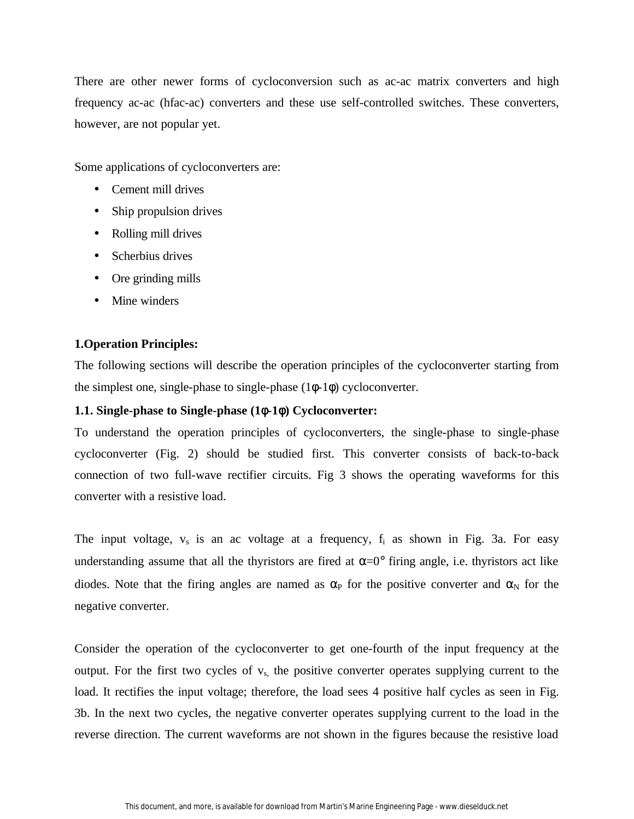There are other newer forms of cycloconversion such as ac-ac matrix converters and high frequency ac-ac (hfac-ac) converters and these use self-controlled switches. These converters, however, are not popular yet.

Some applications of cycloconverters are:

- Cement mill drives
- Ship propulsion drives
- Rolling mill drives
- Scherbius drives
- Ore grinding mills
- Mine winders

# **1.Operation Principles:**

The following sections will describe the operation principles of the cycloconverter starting from the simplest one, single-phase to single-phase  $(1\phi-1\phi)$  cycloconverter.

## **1.1. Single-phase to Single-phase (1**φ**-1**φ**) Cycloconverter:**

To understand the operation principles of cycloconverters, the single-phase to single-phase cycloconverter (Fig. 2) should be studied first. This converter consists of back-to-back connection of two full-wave rectifier circuits. Fig 3 shows the operating waveforms for this converter with a resistive load.

The input voltage,  $v_s$  is an ac voltage at a frequency,  $f_i$  as shown in Fig. 3a. For easy understanding assume that all the thyristors are fired at  $\alpha = 0^{\circ}$  firing angle, i.e. thyristors act like diodes. Note that the firing angles are named as  $\alpha_P$  for the positive converter and  $\alpha_N$  for the negative converter.

Consider the operation of the cycloconverter to get one-fourth of the input frequency at the output. For the first two cycles of  $v_s$ , the positive converter operates supplying current to the load. It rectifies the input voltage; therefore, the load sees 4 positive half cycles as seen in Fig. 3b. In the next two cycles, the negative converter operates supplying current to the load in the reverse direction. The current waveforms are not shown in the figures because the resistive load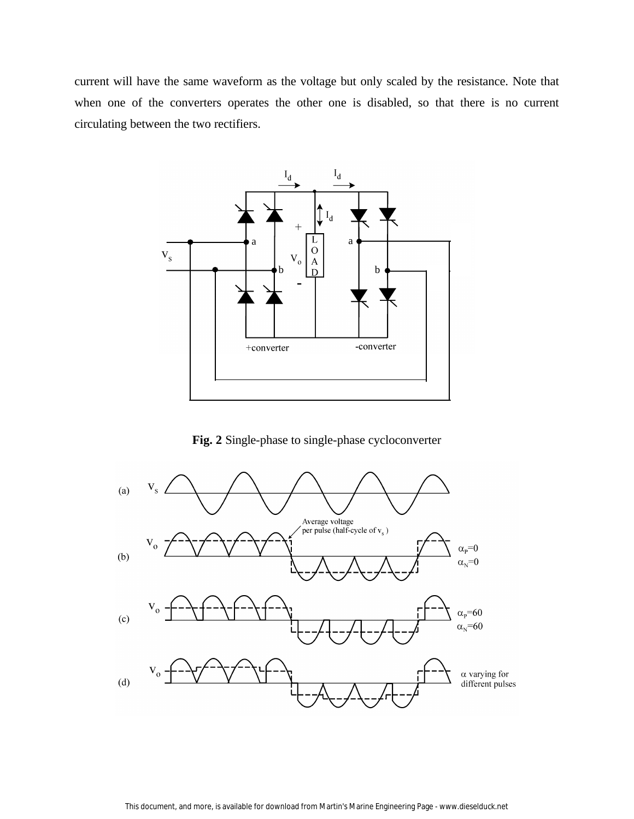current will have the same waveform as the voltage but only scaled by the resistance. Note that when one of the converters operates the other one is disabled, so that there is no current circulating between the two rectifiers.



**Fig. 2** Single-phase to single-phase cycloconverter

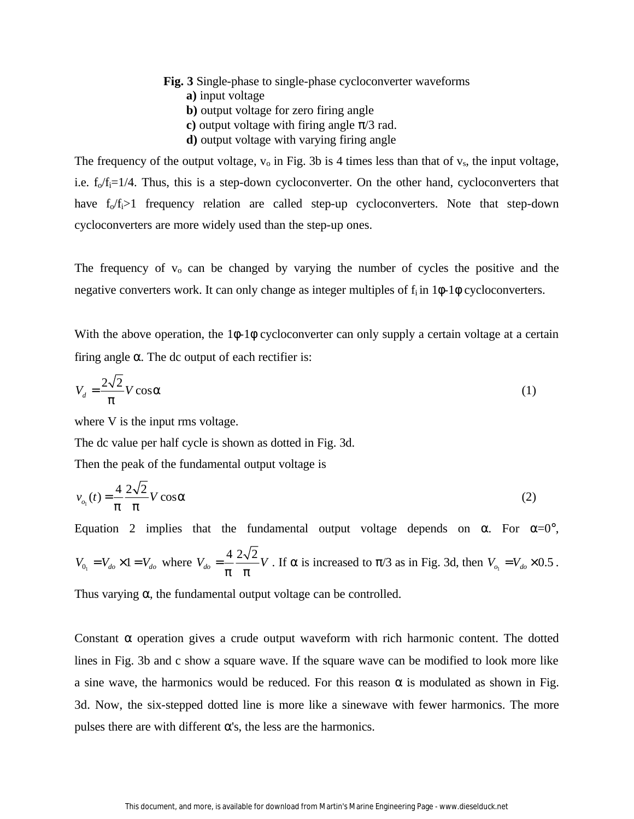- **Fig. 3** Single-phase to single-phase cycloconverter waveforms
	- **a)** input voltage
	- **b)** output voltage for zero firing angle
	- **c**) output voltage with firing angle  $\pi/3$  rad.
	- **d)** output voltage with varying firing angle

The frequency of the output voltage,  $v_0$  in Fig. 3b is 4 times less than that of  $v_s$ , the input voltage, i.e.  $f_0/f_i=1/4$ . Thus, this is a step-down cycloconverter. On the other hand, cycloconverters that have  $f_0/f_i > 1$  frequency relation are called step-up cycloconverters. Note that step-down cycloconverters are more widely used than the step-up ones.

The frequency of  $v_0$  can be changed by varying the number of cycles the positive and the negative converters work. It can only change as integer multiples of  $f_i$  in  $1\phi$ -1 $\phi$  cycloconverters.

With the above operation, the 1φ-1φ cycloconverter can only supply a certain voltage at a certain firing angle  $\alpha$ . The dc output of each rectifier is:

$$
V_d = \frac{2\sqrt{2}}{p} V \cos \mathbf{a}
$$
 (1)

where V is the input rms voltage.

The dc value per half cycle is shown as dotted in Fig. 3d.

Then the peak of the fundamental output voltage is

$$
v_{o_1}(t) = \frac{4}{p} \frac{2\sqrt{2}}{p} V \cos \mathbf{a}
$$
 (2)

Equation 2 implies that the fundamental output voltage depends on  $\alpha$ . For  $\alpha=0^{\circ}$ ,  $V_{0_1} = V_{do} \times 1 = V_{do}$  where  $V_{do} = \frac{4}{p} \frac{2\sqrt{2}}{p} V$  $=\frac{1}{n} \frac{2 \sqrt{2}}{n} V$ . If  $\alpha$  is increased to  $\pi/3$  as in Fig. 3d, then  $V_{o_1} = V_{do} \times 0.5$ .

Thus varying  $\alpha$ , the fundamental output voltage can be controlled.

Constant  $\alpha$  operation gives a crude output waveform with rich harmonic content. The dotted lines in Fig. 3b and c show a square wave. If the square wave can be modified to look more like a sine wave, the harmonics would be reduced. For this reason  $\alpha$  is modulated as shown in Fig. 3d. Now, the six-stepped dotted line is more like a sinewave with fewer harmonics. The more pulses there are with different  $\alpha$ 's, the less are the harmonics.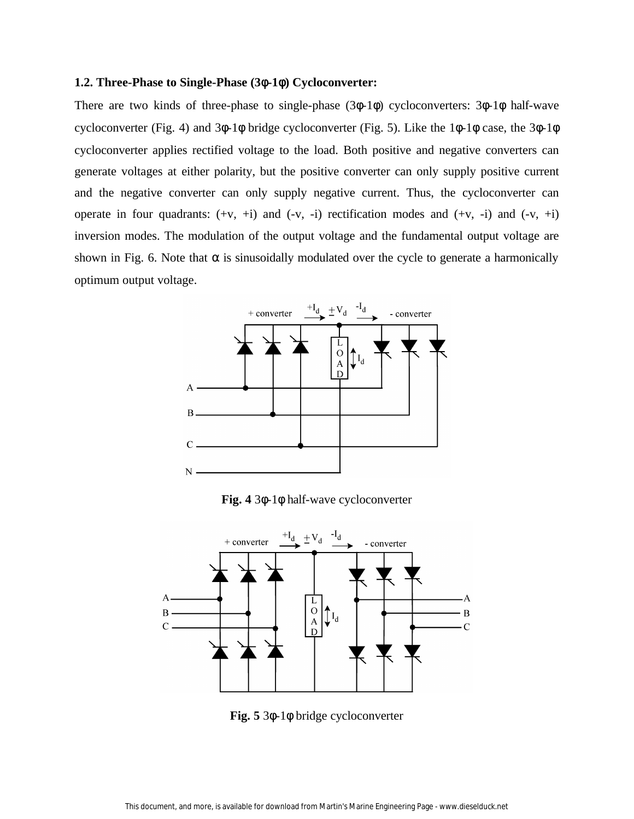#### **1.2. Three-Phase to Single-Phase (3**φ**-1**φ**) Cycloconverter:**

There are two kinds of three-phase to single-phase (3φ-1φ) cycloconverters: 3φ-1φ half-wave cycloconverter (Fig. 4) and 3φ-1φ bridge cycloconverter (Fig. 5). Like the 1φ-1φ case, the 3φ-1φ cycloconverter applies rectified voltage to the load. Both positive and negative converters can generate voltages at either polarity, but the positive converter can only supply positive current and the negative converter can only supply negative current. Thus, the cycloconverter can operate in four quadrants:  $(+v, +i)$  and  $(-v, -i)$  rectification modes and  $(+v, -i)$  and  $(-v, +i)$ inversion modes. The modulation of the output voltage and the fundamental output voltage are shown in Fig. 6. Note that  $\alpha$  is sinusoidally modulated over the cycle to generate a harmonically optimum output voltage.



**Fig. 4** 3φ-1φ half-wave cycloconverter



**Fig. 5** 3φ-1φ bridge cycloconverter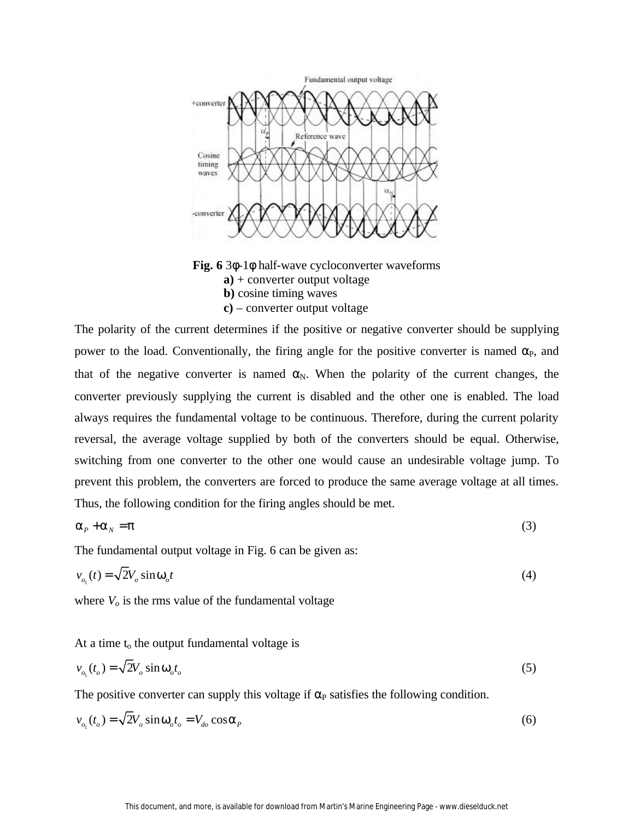

**Fig. 6** 3φ-1φ half-wave cycloconverter waveforms **a)** + converter output voltage **b)** cosine timing waves

**c)** – converter output voltage

The polarity of the current determines if the positive or negative converter should be supplying power to the load. Conventionally, the firing angle for the positive converter is named  $\alpha_{\rm P}$ , and that of the negative converter is named  $\alpha_N$ . When the polarity of the current changes, the converter previously supplying the current is disabled and the other one is enabled. The load always requires the fundamental voltage to be continuous. Therefore, during the current polarity reversal, the average voltage supplied by both of the converters should be equal. Otherwise, switching from one converter to the other one would cause an undesirable voltage jump. To prevent this problem, the converters are forced to produce the same average voltage at all times. Thus, the following condition for the firing angles should be met.

$$
a_p + a_p = p \tag{3}
$$

The fundamental output voltage in Fig. 6 can be given as:

$$
v_{o_1}(t) = \sqrt{2V_o \sin \mathbf{w}_o t} \tag{4}
$$

where  $V<sub>o</sub>$  is the rms value of the fundamental voltage

At a time  $t_0$  the output fundamental voltage is

$$
v_{o_1}(t_o) = \sqrt{2}V_o \sin \mathbf{w}_o t_o \tag{5}
$$

The positive converter can supply this voltage if  $\alpha_P$  satisfies the following condition.

$$
v_{o_1}(t_o) = \sqrt{2V_o \sin \mathbf{w}_o t_o} = V_{do} \cos \mathbf{a}_P
$$
\n<sup>(6)</sup>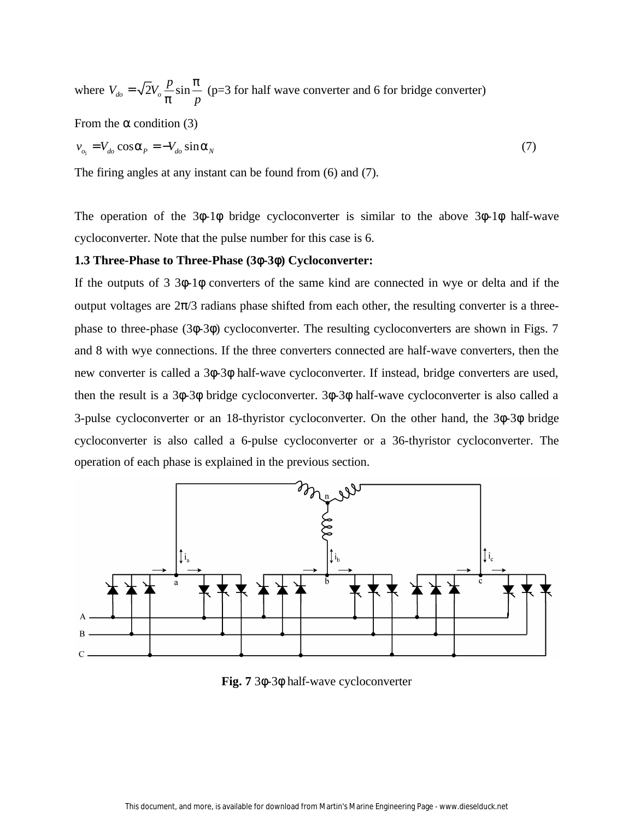where  $V_{do} = \sqrt{2}V_o \frac{p}{r} \sin \theta$ *p p p*  $=\sqrt{2V_e}$   $\frac{P}{m}$  sin  $\frac{P}{m}$  (p=3 for half wave converter and 6 for bridge converter)

From the  $\alpha$  condition (3)

$$
v_{o_1} = V_{do} \cos \mathbf{a}_P = -V_{do} \sin \mathbf{a}_N \tag{7}
$$

The firing angles at any instant can be found from (6) and (7).

The operation of the 3φ-1φ bridge cycloconverter is similar to the above 3φ-1φ half-wave cycloconverter. Note that the pulse number for this case is 6.

## **1.3 Three-Phase to Three-Phase (3**φ**-3**φ**) Cycloconverter:**

If the outputs of 3 3φ-1φ converters of the same kind are connected in wye or delta and if the output voltages are  $2\pi/3$  radians phase shifted from each other, the resulting converter is a threephase to three-phase (3φ-3φ) cycloconverter. The resulting cycloconverters are shown in Figs. 7 and 8 with wye connections. If the three converters connected are half-wave converters, then the new converter is called a 3φ-3φ half-wave cycloconverter. If instead, bridge converters are used, then the result is a 3φ-3φ bridge cycloconverter. 3φ-3φ half-wave cycloconverter is also called a 3-pulse cycloconverter or an 18-thyristor cycloconverter. On the other hand, the 3φ-3φ bridge cycloconverter is also called a 6-pulse cycloconverter or a 36-thyristor cycloconverter. The operation of each phase is explained in the previous section.



**Fig. 7** 3φ-3φ half-wave cycloconverter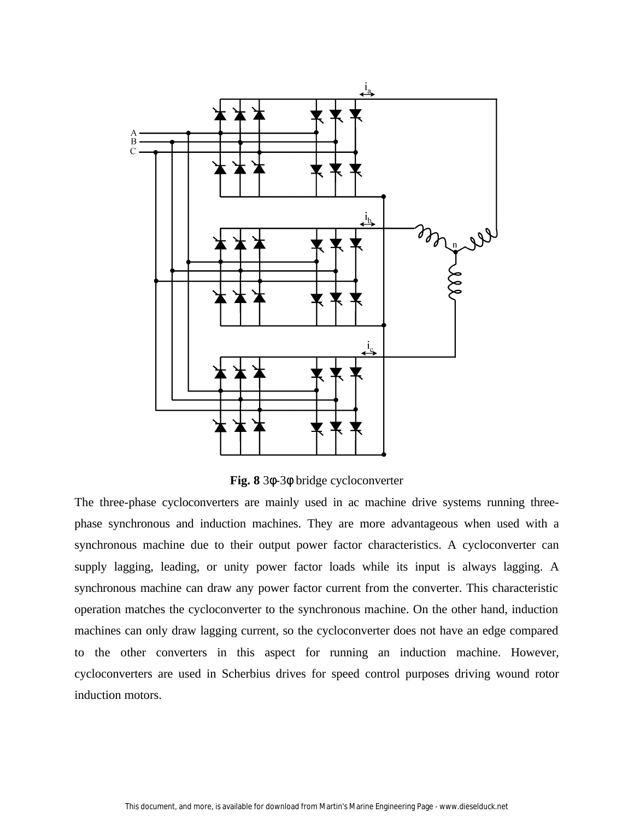

**Fig. 8** 3φ-3φ bridge cycloconverter

The three-phase cycloconverters are mainly used in ac machine drive systems running threephase synchronous and induction machines. They are more advantageous when used with a synchronous machine due to their output power factor characteristics. A cycloconverter can supply lagging, leading, or unity power factor loads while its input is always lagging. A synchronous machine can draw any power factor current from the converter. This characteristic operation matches the cycloconverter to the synchronous machine. On the other hand, induction machines can only draw lagging current, so the cycloconverter does not have an edge compared to the other converters in this aspect for running an induction machine. However, cycloconverters are used in Scherbius drives for speed control purposes driving wound rotor induction motors.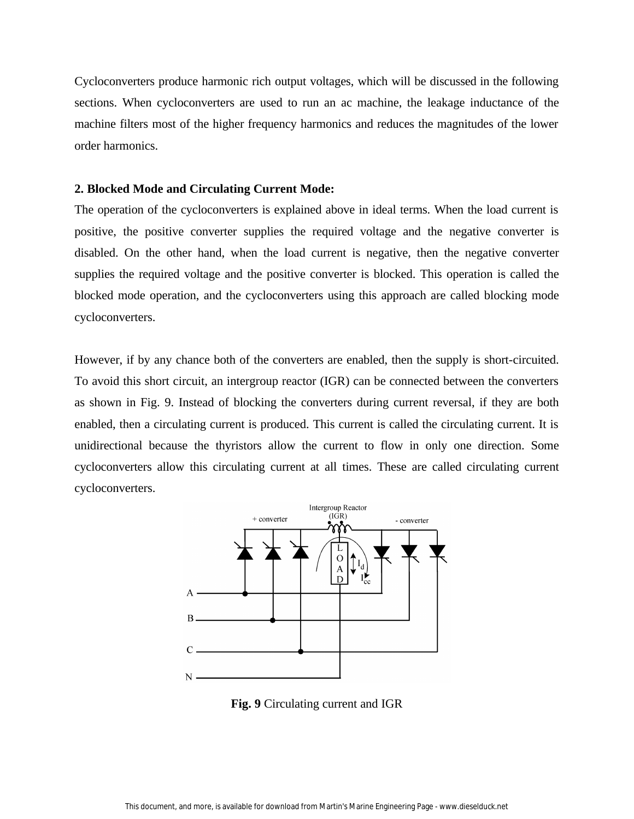Cycloconverters produce harmonic rich output voltages, which will be discussed in the following sections. When cycloconverters are used to run an ac machine, the leakage inductance of the machine filters most of the higher frequency harmonics and reduces the magnitudes of the lower order harmonics.

### **2. Blocked Mode and Circulating Current Mode:**

The operation of the cycloconverters is explained above in ideal terms. When the load current is positive, the positive converter supplies the required voltage and the negative converter is disabled. On the other hand, when the load current is negative, then the negative converter supplies the required voltage and the positive converter is blocked. This operation is called the blocked mode operation, and the cycloconverters using this approach are called blocking mode cycloconverters.

However, if by any chance both of the converters are enabled, then the supply is short-circuited. To avoid this short circuit, an intergroup reactor (IGR) can be connected between the converters as shown in Fig. 9. Instead of blocking the converters during current reversal, if they are both enabled, then a circulating current is produced. This current is called the circulating current. It is unidirectional because the thyristors allow the current to flow in only one direction. Some cycloconverters allow this circulating current at all times. These are called circulating current cycloconverters.



**Fig. 9** Circulating current and IGR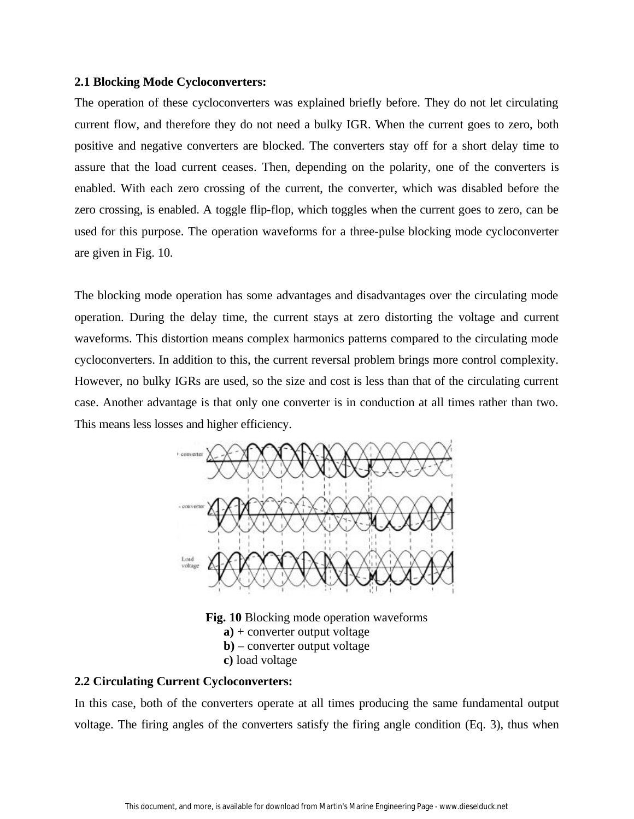#### **2.1 Blocking Mode Cycloconverters:**

The operation of these cycloconverters was explained briefly before. They do not let circulating current flow, and therefore they do not need a bulky IGR. When the current goes to zero, both positive and negative converters are blocked. The converters stay off for a short delay time to assure that the load current ceases. Then, depending on the polarity, one of the converters is enabled. With each zero crossing of the current, the converter, which was disabled before the zero crossing, is enabled. A toggle flip-flop, which toggles when the current goes to zero, can be used for this purpose. The operation waveforms for a three-pulse blocking mode cycloconverter are given in Fig. 10.

The blocking mode operation has some advantages and disadvantages over the circulating mode operation. During the delay time, the current stays at zero distorting the voltage and current waveforms. This distortion means complex harmonics patterns compared to the circulating mode cycloconverters. In addition to this, the current reversal problem brings more control complexity. However, no bulky IGRs are used, so the size and cost is less than that of the circulating current case. Another advantage is that only one converter is in conduction at all times rather than two. This means less losses and higher efficiency.



**Fig. 10** Blocking mode operation waveforms **a)** + converter output voltage **b)** – converter output voltage **c)** load voltage

## **2.2 Circulating Current Cycloconverters:**

In this case, both of the converters operate at all times producing the same fundamental output voltage. The firing angles of the converters satisfy the firing angle condition (Eq. 3), thus when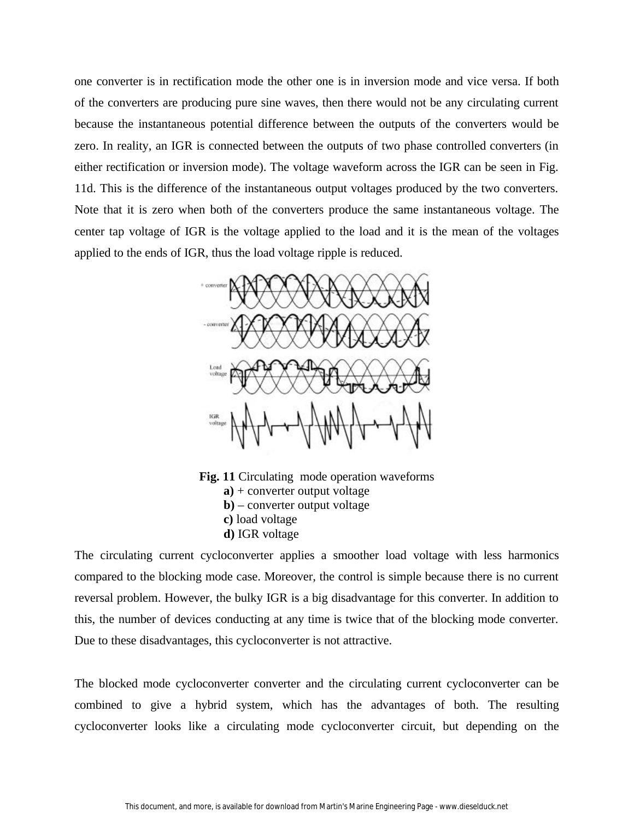one converter is in rectification mode the other one is in inversion mode and vice versa. If both of the converters are producing pure sine waves, then there would not be any circulating current because the instantaneous potential difference between the outputs of the converters would be zero. In reality, an IGR is connected between the outputs of two phase controlled converters (in either rectification or inversion mode). The voltage waveform across the IGR can be seen in Fig. 11d. This is the difference of the instantaneous output voltages produced by the two converters. Note that it is zero when both of the converters produce the same instantaneous voltage. The center tap voltage of IGR is the voltage applied to the load and it is the mean of the voltages applied to the ends of IGR, thus the load voltage ripple is reduced.



**Fig. 11** Circulating mode operation waveforms **a)** + converter output voltage **b)** – converter output voltage **c)** load voltage **d)** IGR voltage

The circulating current cycloconverter applies a smoother load voltage with less harmonics compared to the blocking mode case. Moreover, the control is simple because there is no current reversal problem. However, the bulky IGR is a big disadvantage for this converter. In addition to this, the number of devices conducting at any time is twice that of the blocking mode converter. Due to these disadvantages, this cycloconverter is not attractive.

The blocked mode cycloconverter converter and the circulating current cycloconverter can be combined to give a hybrid system, which has the advantages of both. The resulting cycloconverter looks like a circulating mode cycloconverter circuit, but depending on the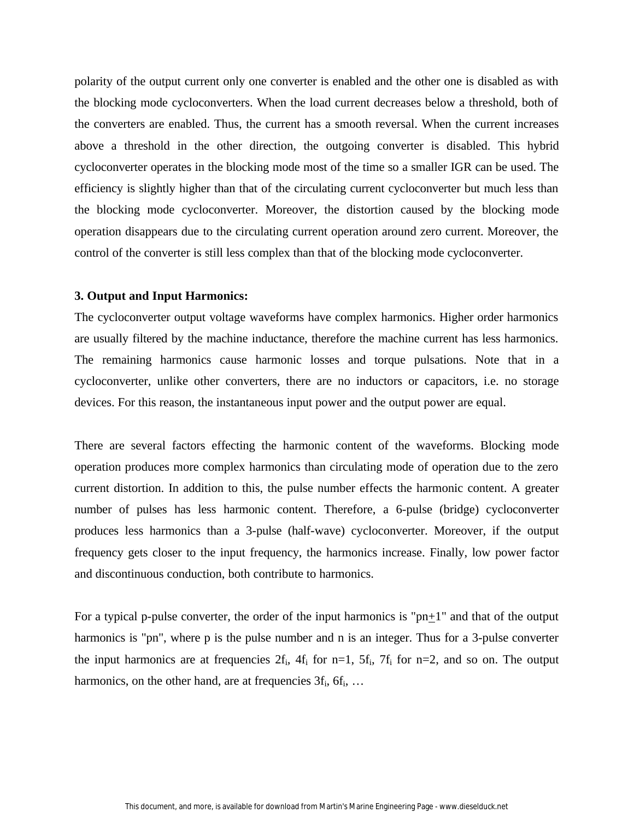polarity of the output current only one converter is enabled and the other one is disabled as with the blocking mode cycloconverters. When the load current decreases below a threshold, both of the converters are enabled. Thus, the current has a smooth reversal. When the current increases above a threshold in the other direction, the outgoing converter is disabled. This hybrid cycloconverter operates in the blocking mode most of the time so a smaller IGR can be used. The efficiency is slightly higher than that of the circulating current cycloconverter but much less than the blocking mode cycloconverter. Moreover, the distortion caused by the blocking mode operation disappears due to the circulating current operation around zero current. Moreover, the control of the converter is still less complex than that of the blocking mode cycloconverter.

#### **3. Output and Input Harmonics:**

The cycloconverter output voltage waveforms have complex harmonics. Higher order harmonics are usually filtered by the machine inductance, therefore the machine current has less harmonics. The remaining harmonics cause harmonic losses and torque pulsations. Note that in a cycloconverter, unlike other converters, there are no inductors or capacitors, i.e. no storage devices. For this reason, the instantaneous input power and the output power are equal.

There are several factors effecting the harmonic content of the waveforms. Blocking mode operation produces more complex harmonics than circulating mode of operation due to the zero current distortion. In addition to this, the pulse number effects the harmonic content. A greater number of pulses has less harmonic content. Therefore, a 6-pulse (bridge) cycloconverter produces less harmonics than a 3-pulse (half-wave) cycloconverter. Moreover, if the output frequency gets closer to the input frequency, the harmonics increase. Finally, low power factor and discontinuous conduction, both contribute to harmonics.

For a typical p-pulse converter, the order of the input harmonics is " $pn+1$ " and that of the output harmonics is "pn", where p is the pulse number and n is an integer. Thus for a 3-pulse converter the input harmonics are at frequencies  $2f_i$ ,  $4f_i$  for n=1,  $5f_i$ ,  $7f_i$  for n=2, and so on. The output harmonics, on the other hand, are at frequencies  $3f_i$ ,  $6f_i$ , ...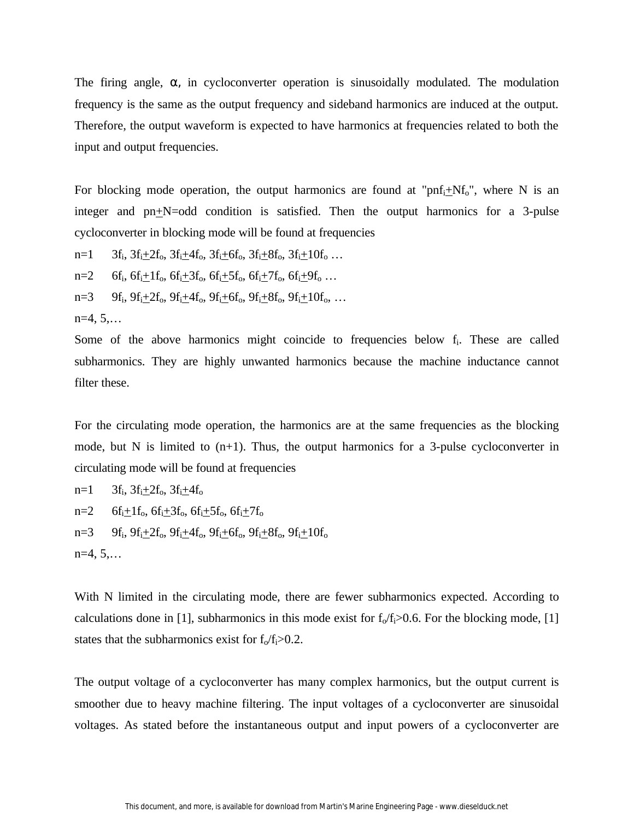The firing angle,  $\alpha$ , in cycloconverter operation is sinusoidally modulated. The modulation frequency is the same as the output frequency and sideband harmonics are induced at the output. Therefore, the output waveform is expected to have harmonics at frequencies related to both the input and output frequencies.

For blocking mode operation, the output harmonics are found at " $\text{pnf}_{i} + Nf_{o}$ ", where N is an integer and  $pn+N=odd$  condition is satisfied. Then the output harmonics for a 3-pulse cycloconverter in blocking mode will be found at frequencies

 $n=1$  3f<sub>i</sub>, 3f<sub>i</sub> $\pm$ 2f<sub>o</sub>, 3f<sub>i</sub> $\pm$ 4f<sub>o</sub>, 3f<sub>i</sub> $\pm$ 6f<sub>o</sub>, 3f<sub>i</sub> $\pm$ 8f<sub>o</sub>, 3f<sub>i</sub> $\pm$ 10f<sub>o</sub> ...

 $n=2$  6f<sub>i</sub>, 6f<sub>i</sub> $+1$ f<sub>o</sub>, 6f<sub>i</sub> $+3$ f<sub>o</sub>, 6f<sub>i</sub> $+5$ f<sub>o</sub>, 6f<sub>i</sub> $+7$ f<sub>o</sub>, 6f<sub>i</sub> $+9$ f<sub>o</sub> ...

 $n=3$  9f<sub>i</sub>, 9f<sub>i</sub>+2f<sub>o</sub>, 9f<sub>i</sub>+4f<sub>o</sub>, 9f<sub>i</sub>+6f<sub>o</sub>, 9f<sub>i</sub>+8f<sub>o</sub>, 9f<sub>i</sub>+10f<sub>o</sub>, ...

 $n=4, 5,...$ 

Some of the above harmonics might coincide to frequencies below f<sub>i</sub>. These are called subharmonics. They are highly unwanted harmonics because the machine inductance cannot filter these.

For the circulating mode operation, the harmonics are at the same frequencies as the blocking mode, but N is limited to  $(n+1)$ . Thus, the output harmonics for a 3-pulse cycloconverter in circulating mode will be found at frequencies

 $n=1$  3 $f_i$ ,  $3f_i + 2f_o$ ,  $3f_i + 4f_o$  $n=2$  6f<sub>i</sub> $+1$ f<sub>o</sub>, 6f<sub>i</sub> $+3$ f<sub>o</sub>, 6f<sub>i</sub> $+5$ f<sub>o</sub>, 6f<sub>i</sub> $+7$ f<sub>o</sub>  $n=3$  9f<sub>i</sub>, 9f<sub>i</sub> $\pm 2f_0$ , 9f<sub>i</sub> $\pm 4f_0$ , 9f<sub>i</sub> $\pm 6f_0$ , 9f<sub>i</sub> $\pm 8f_0$ , 9f<sub>i</sub> $\pm 10f_0$  $n=4, 5,...$ 

With N limited in the circulating mode, there are fewer subharmonics expected. According to calculations done in [1], subharmonics in this mode exist for  $f_0/f_i>0.6$ . For the blocking mode, [1] states that the subharmonics exist for  $f_0/f_i > 0.2$ .

The output voltage of a cycloconverter has many complex harmonics, but the output current is smoother due to heavy machine filtering. The input voltages of a cycloconverter are sinusoidal voltages. As stated before the instantaneous output and input powers of a cycloconverter are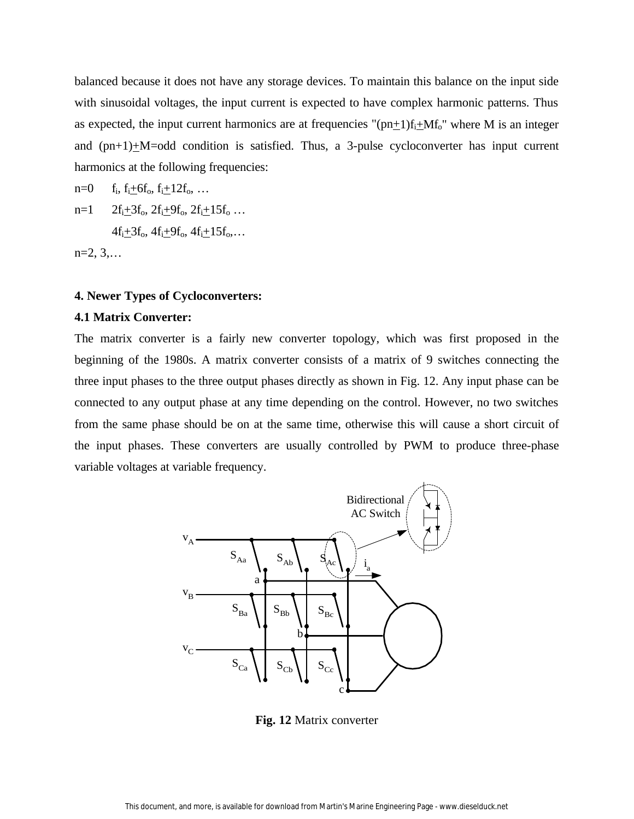balanced because it does not have any storage devices. To maintain this balance on the input side with sinusoidal voltages, the input current is expected to have complex harmonic patterns. Thus as expected, the input current harmonics are at frequencies " $(pn+1)f_i+Mf_o$ " where M is an integer and  $(pn+1)+M=odd$  condition is satisfied. Thus, a 3-pulse cycloconverter has input current harmonics at the following frequencies:

 $n=0$   $f_i, f_i+6f_o, f_i+12f_o, ...$  $n=1$   $2f_i+3f_o$ ,  $2f_i+9f_o$ ,  $2f_i+15f_o$  ...  $4f_i+3f_o$ ,  $4f_i+9f_o$ ,  $4f_i+15f_o$ ,...

 $n=2, 3,...$ 

## **4. Newer Types of Cycloconverters:**

## **4.1 Matrix Converter:**

The matrix converter is a fairly new converter topology, which was first proposed in the beginning of the 1980s. A matrix converter consists of a matrix of 9 switches connecting the three input phases to the three output phases directly as shown in Fig. 12. Any input phase can be connected to any output phase at any time depending on the control. However, no two switches from the same phase should be on at the same time, otherwise this will cause a short circuit of the input phases. These converters are usually controlled by PWM to produce three-phase variable voltages at variable frequency.



**Fig. 12** Matrix converter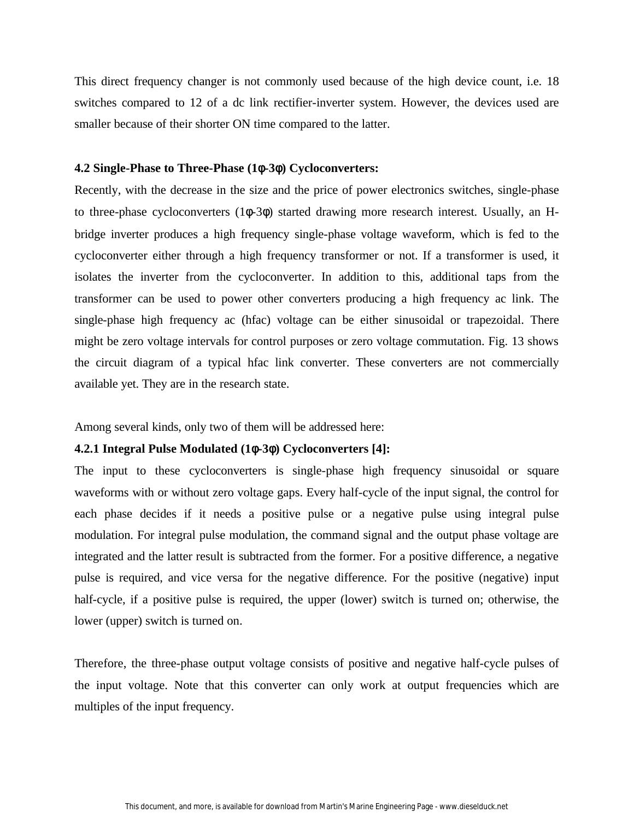This direct frequency changer is not commonly used because of the high device count, i.e. 18 switches compared to 12 of a dc link rectifier-inverter system. However, the devices used are smaller because of their shorter ON time compared to the latter.

#### **4.2 Single-Phase to Three-Phase (1**φ**-3**φ**) Cycloconverters:**

Recently, with the decrease in the size and the price of power electronics switches, single-phase to three-phase cycloconverters (1φ-3φ) started drawing more research interest. Usually, an Hbridge inverter produces a high frequency single-phase voltage waveform, which is fed to the cycloconverter either through a high frequency transformer or not. If a transformer is used, it isolates the inverter from the cycloconverter. In addition to this, additional taps from the transformer can be used to power other converters producing a high frequency ac link. The single-phase high frequency ac (hfac) voltage can be either sinusoidal or trapezoidal. There might be zero voltage intervals for control purposes or zero voltage commutation. Fig. 13 shows the circuit diagram of a typical hfac link converter. These converters are not commercially available yet. They are in the research state.

Among several kinds, only two of them will be addressed here:

## **4.2.1 Integral Pulse Modulated (1**φ**-3**φ**) Cycloconverters [4]:**

The input to these cycloconverters is single-phase high frequency sinusoidal or square waveforms with or without zero voltage gaps. Every half-cycle of the input signal, the control for each phase decides if it needs a positive pulse or a negative pulse using integral pulse modulation. For integral pulse modulation, the command signal and the output phase voltage are integrated and the latter result is subtracted from the former. For a positive difference, a negative pulse is required, and vice versa for the negative difference. For the positive (negative) input half-cycle, if a positive pulse is required, the upper (lower) switch is turned on; otherwise, the lower (upper) switch is turned on.

Therefore, the three-phase output voltage consists of positive and negative half-cycle pulses of the input voltage. Note that this converter can only work at output frequencies which are multiples of the input frequency.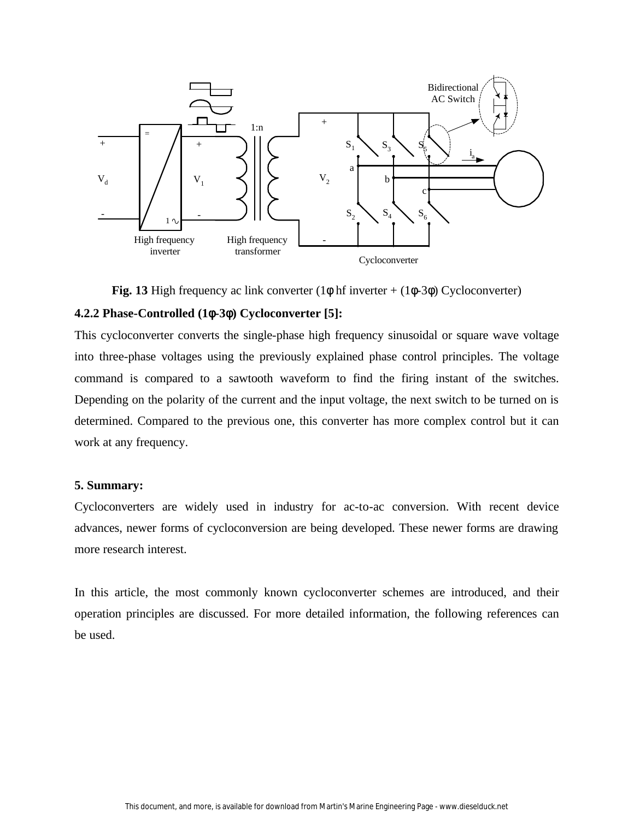

**Fig. 13** High frequency ac link converter  $(1\phi \text{ hf inverter} + (1\phi - 3\phi) \text{ Cycloconverter})$ 

# **4.2.2 Phase-Controlled (1**φ**-3**φ**) Cycloconverter [5]:**

This cycloconverter converts the single-phase high frequency sinusoidal or square wave voltage into three-phase voltages using the previously explained phase control principles. The voltage command is compared to a sawtooth waveform to find the firing instant of the switches. Depending on the polarity of the current and the input voltage, the next switch to be turned on is determined. Compared to the previous one, this converter has more complex control but it can work at any frequency.

## **5. Summary:**

Cycloconverters are widely used in industry for ac-to-ac conversion. With recent device advances, newer forms of cycloconversion are being developed. These newer forms are drawing more research interest.

In this article, the most commonly known cycloconverter schemes are introduced, and their operation principles are discussed. For more detailed information, the following references can be used.